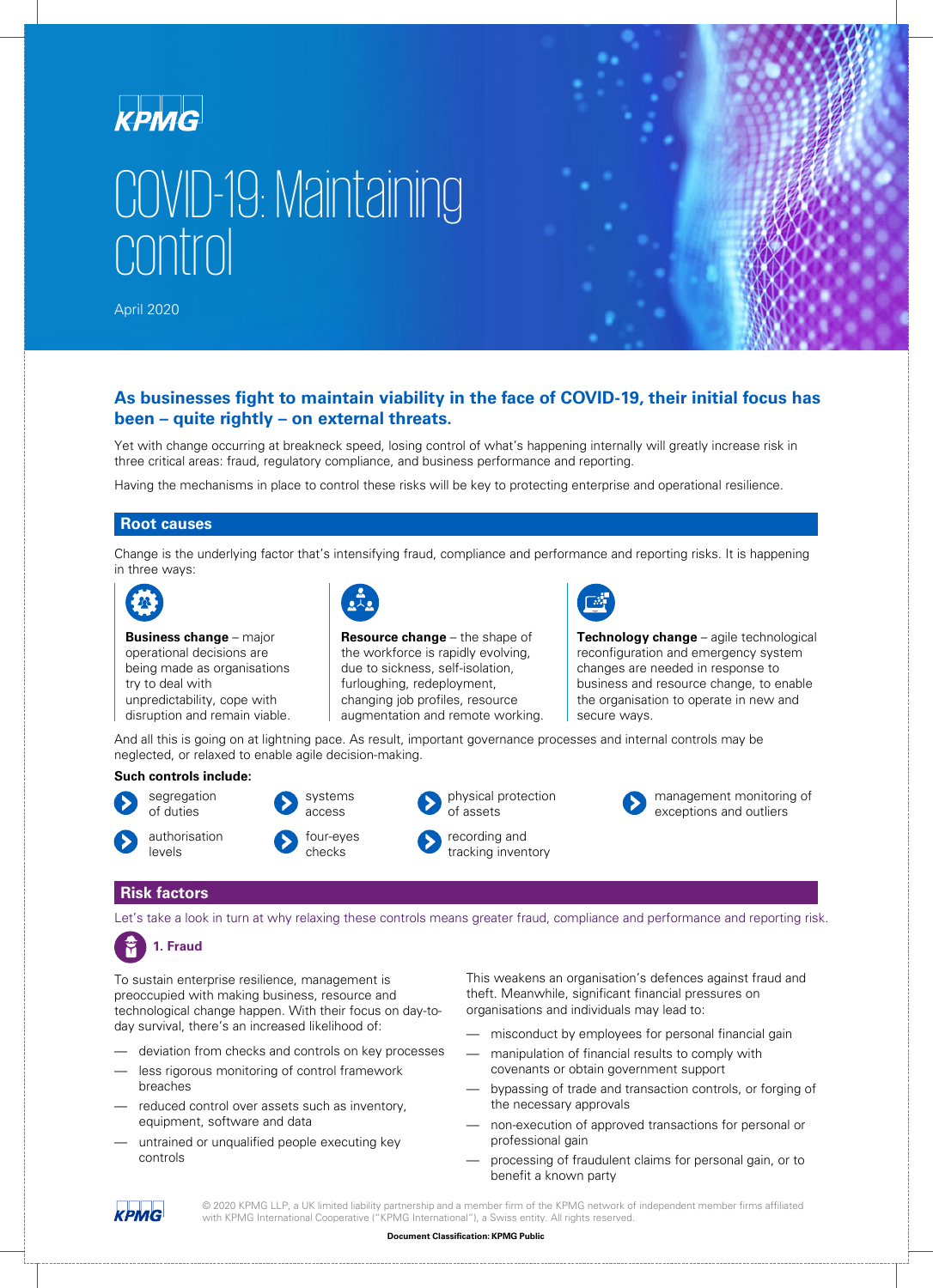

# COVID-19: Maintaining control

April 2020



## **As businesses fight to maintain viability in the face of COVID-19, their initial focus has been – quite rightly – on external threats.**

Yet with change occurring at breakneck speed, losing control of what's happening internally will greatly increase risk in three critical areas: fraud, regulatory compliance, and business performance and reporting.

Having the mechanisms in place to control these risks will be key to protecting enterprise and operational resilience.

#### **Root causes**

Change is the underlying factor that's intensifying fraud, compliance and performance and reporting risks. It is happening in three ways:



**Business change** – major operational decisions are being made as organisations try to deal with unpredictability, cope with disruption and remain viable.



**Resource change** – the shape of the workforce is rapidly evolving, due to sickness, self-isolation, furloughing, redeployment, changing job profiles, resource augmentation and remote working.



**Technology change** – agile technological reconfiguration and emergency system changes are needed in response to business and resource change, to enable the organisation to operate in new and secure ways.

And all this is going on at lightning pace. As result, important governance processes and internal controls may be neglected, or relaxed to enable agile decision-making.

#### **Such controls include:**





checks

physical protection of assets recording and

tracking inventory



management monitoring of exceptions and outliers

### **Risk factors**

levels

Let's take a look in turn at why relaxing these controls means greater fraud, compliance and performance and reporting risk.

# **1. Fraud**

To sustain enterprise resilience, management is preoccupied with making business, resource and technological change happen. With their focus on day-today survival, there's an increased likelihood of:

- deviation from checks and controls on key processes
- less rigorous monitoring of control framework breaches
- reduced control over assets such as inventory, equipment, software and data
- untrained or unqualified people executing key controls

This weakens an organisation's defences against fraud and theft. Meanwhile, significant financial pressures on organisations and individuals may lead to:

- misconduct by employees for personal financial gain
- manipulation of financial results to comply with covenants or obtain government support
- bypassing of trade and transaction controls, or forging of the necessary approvals
- non-execution of approved transactions for personal or professional gain
- processing of fraudulent claims for personal gain, or to benefit a known party

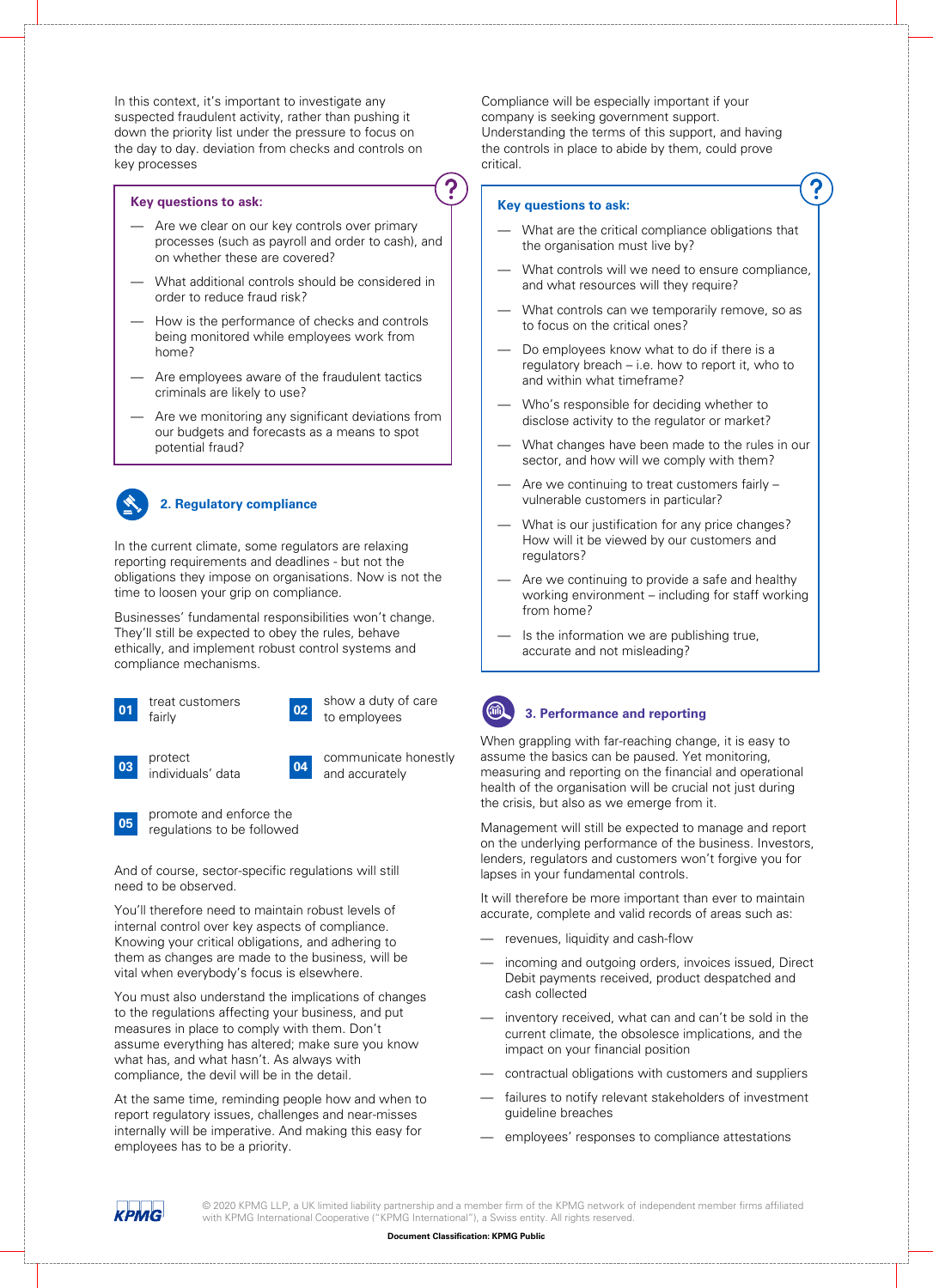In this context, it's important to investigate any suspected fraudulent activity, rather than pushing it down the priority list under the pressure to focus on the day to day. deviation from checks and controls on key processes

#### **Key questions to ask:**

- Are we clear on our key controls over primary processes (such as payroll and order to cash), and on whether these are covered?
- What additional controls should be considered in order to reduce fraud risk?
- How is the performance of checks and controls being monitored while employees work from home?
- Are employees aware of the fraudulent tactics criminals are likely to use?
- Are we monitoring any significant deviations from our budgets and forecasts as a means to spot potential fraud?



#### **2. Regulatory compliance**

In the current climate, some regulators are relaxing reporting requirements and deadlines - but not the obligations they impose on organisations. Now is not the time to loosen your grip on compliance.

Businesses' fundamental responsibilities won't change. They'll still be expected to obey the rules, behave ethically, and implement robust control systems and compliance mechanisms.

| 01 | treat customers |
|----|-----------------|
|    | fairly          |





**03** protect<br>individuals' data



**04** communicate honestly and accurately

**05** promote and enforce the regulations to be followed

And of course, sector-specific regulations will still need to be observed.

You'll therefore need to maintain robust levels of internal control over key aspects of compliance. Knowing your critical obligations, and adhering to them as changes are made to the business, will be vital when everybody's focus is elsewhere.

You must also understand the implications of changes to the regulations affecting your business, and put measures in place to comply with them. Don't assume everything has altered; make sure you know what has, and what hasn't. As always with compliance, the devil will be in the detail.

At the same time, reminding people how and when to report regulatory issues, challenges and near-misses internally will be imperative. And making this easy for employees has to be a priority.

Compliance will be especially important if your company is seeking government support. Understanding the terms of this support, and having the controls in place to abide by them, could prove critical.

#### **Key questions to ask:**

- What are the critical compliance obligations that the organisation must live by?
- What controls will we need to ensure compliance, and what resources will they require?
- What controls can we temporarily remove, so as to focus on the critical ones?
- Do employees know what to do if there is a regulatory breach – i.e. how to report it, who to and within what timeframe?
- Who's responsible for deciding whether to disclose activity to the regulator or market?
- What changes have been made to the rules in our sector, and how will we comply with them?
- Are we continuing to treat customers fairly vulnerable customers in particular?
- What is our justification for any price changes? How will it be viewed by our customers and regulators?
- Are we continuing to provide a safe and healthy working environment – including for staff working from home?
- Is the information we are publishing true, accurate and not misleading?



#### **3. Performance and reporting**

When grappling with far-reaching change, it is easy to assume the basics can be paused. Yet monitoring, measuring and reporting on the financial and operational health of the organisation will be crucial not just during the crisis, but also as we emerge from it.

Management will still be expected to manage and report on the underlying performance of the business. Investors, lenders, regulators and customers won't forgive you for lapses in your fundamental controls.

It will therefore be more important than ever to maintain accurate, complete and valid records of areas such as:

- revenues, liquidity and cash-flow
- incoming and outgoing orders, invoices issued, Direct Debit payments received, product despatched and cash collected
- inventory received, what can and can't be sold in the current climate, the obsolesce implications, and the impact on your financial position
- contractual obligations with customers and suppliers
- failures to notify relevant stakeholders of investment guideline breaches
- employees' responses to compliance attestations

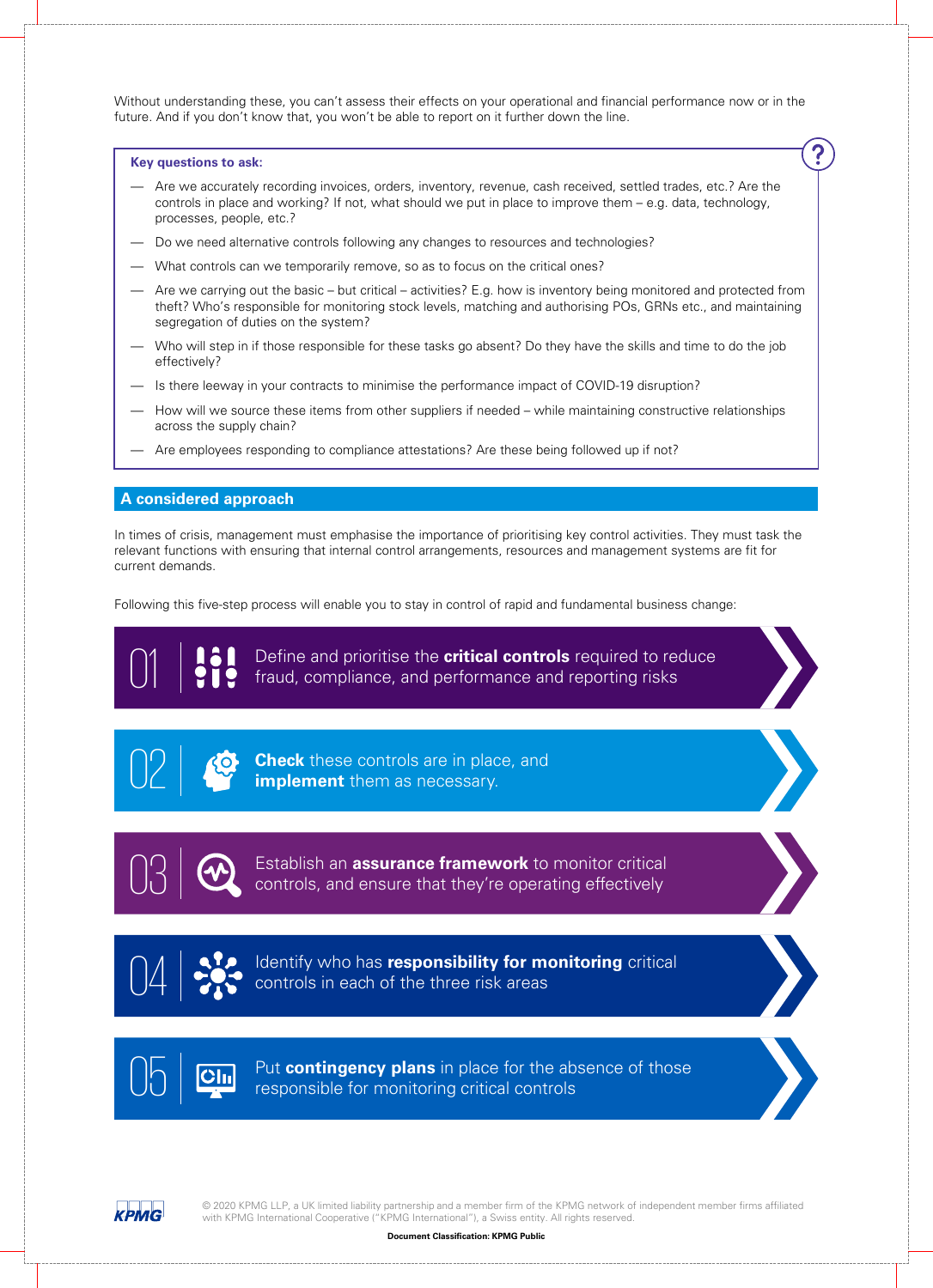Without understanding these, you can't assess their effects on your operational and financial performance now or in the future. And if you don't know that, you won't be able to report on it further down the line.

#### **Key questions to ask:**

- Are we accurately recording invoices, orders, inventory, revenue, cash received, settled trades, etc.? Are the controls in place and working? If not, what should we put in place to improve them – e.g. data, technology, processes, people, etc.?
- Do we need alternative controls following any changes to resources and technologies?
- What controls can we temporarily remove, so as to focus on the critical ones?
- Are we carrying out the basic but critical activities? E.g. how is inventory being monitored and protected from theft? Who's responsible for monitoring stock levels, matching and authorising POs, GRNs etc., and maintaining segregation of duties on the system?
- Who will step in if those responsible for these tasks go absent? Do they have the skills and time to do the job effectively?
- Is there leeway in your contracts to minimise the performance impact of COVID-19 disruption?
- How will we source these items from other suppliers if needed while maintaining constructive relationships across the supply chain?
- Are employees responding to compliance attestations? Are these being followed up if not?

#### **A considered approach**

In times of crisis, management must emphasise the importance of prioritising key control activities. They must task the relevant functions with ensuring that internal control arrangements, resources and management systems are fit for current demands.

Following this five-step process will enable you to stay in control of rapid and fundamental business change:

01 Define and prioritise the **critical controls** required to reduce fraud, compliance, and performance and reporting risks



**Check** these controls are in place, and **implement** them as necessary.



**13** Establish an **assurance framework** to monitor critical controls, and ensure that they're operating effectively



04 **Constant of the state of the three risk areas**<br> **Controls in each of the three risk areas** 



Put **contingency plans** in place for the absence of those responsible for monitoring critical controls

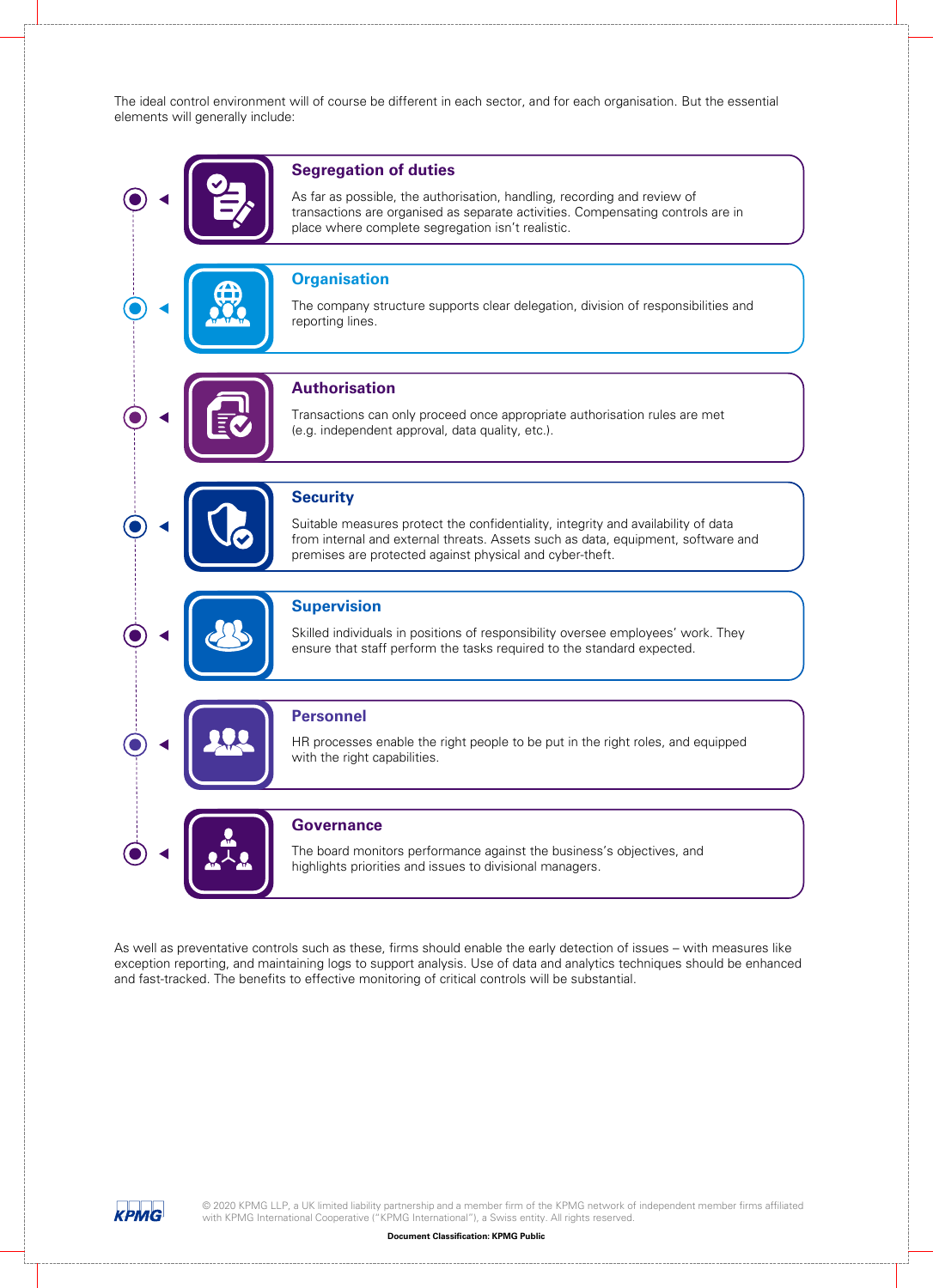The ideal control environment will of course be different in each sector, and for each organisation. But the essential elements will generally include:



As well as preventative controls such as these, firms should enable the early detection of issues – with measures like exception reporting, and maintaining logs to support analysis. Use of data and analytics techniques should be enhanced and fast-tracked. The benefits to effective monitoring of critical controls will be substantial.